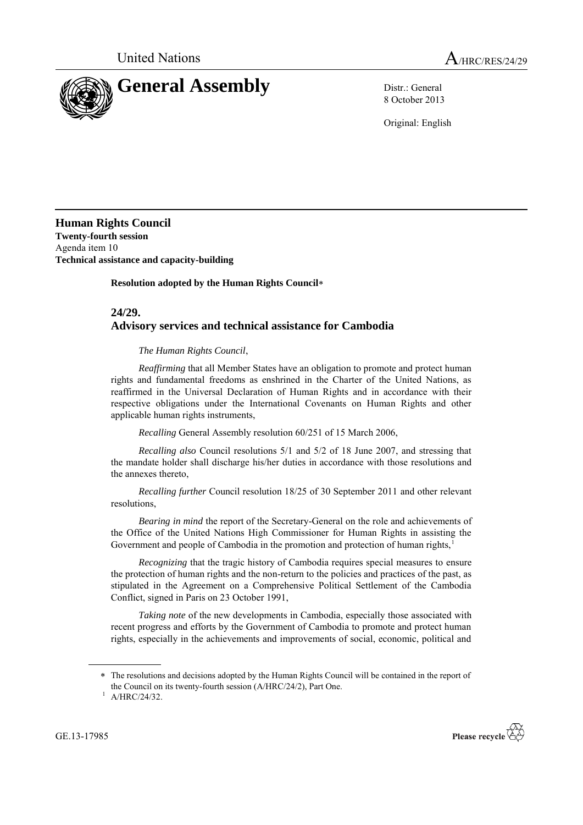

8 October 2013

Original: English

**Human Rights Council Twenty-fourth session** Agenda item 10 **Technical assistance and capacity-building**

**Resolution adopted by the Human Rights Council**

## **24/29. Advisory services and technical assistance for Cambodia**

## *The Human Rights Council*,

*Reaffirming* that all Member States have an obligation to promote and protect human rights and fundamental freedoms as enshrined in the Charter of the United Nations, as reaffirmed in the Universal Declaration of Human Rights and in accordance with their respective obligations under the International Covenants on Human Rights and other applicable human rights instruments,

*Recalling* General Assembly resolution 60/251 of 15 March 2006,

*Recalling also* Council resolutions 5/1 and 5/2 of 18 June 2007, and stressing that the mandate holder shall discharge his/her duties in accordance with those resolutions and the annexes thereto,

*Recalling further* Council resolution 18/25 of 30 September 2011 and other relevant resolutions,

*Bearing in mind* the report of the Secretary-General on the role and achievements of the Office of the United Nations High Commissioner for Human Rights in assisting the Government and people of Cambodia in the promotion and protection of human rights,<sup>1</sup>

*Recognizing* that the tragic history of Cambodia requires special measures to ensure the protection of human rights and the non-return to the policies and practices of the past, as stipulated in the Agreement on a Comprehensive Political Settlement of the Cambodia Conflict, signed in Paris on 23 October 1991,

*Taking note* of the new developments in Cambodia, especially those associated with recent progress and efforts by the Government of Cambodia to promote and protect human rights, especially in the achievements and improvements of social, economic, political and

GE.13-17985



The resolutions and decisions adopted by the Human Rights Council will be contained in the report of the Council on its twenty-fourth session (A/HRC/24/2), Part One.

 $1$  A/HRC/24/32.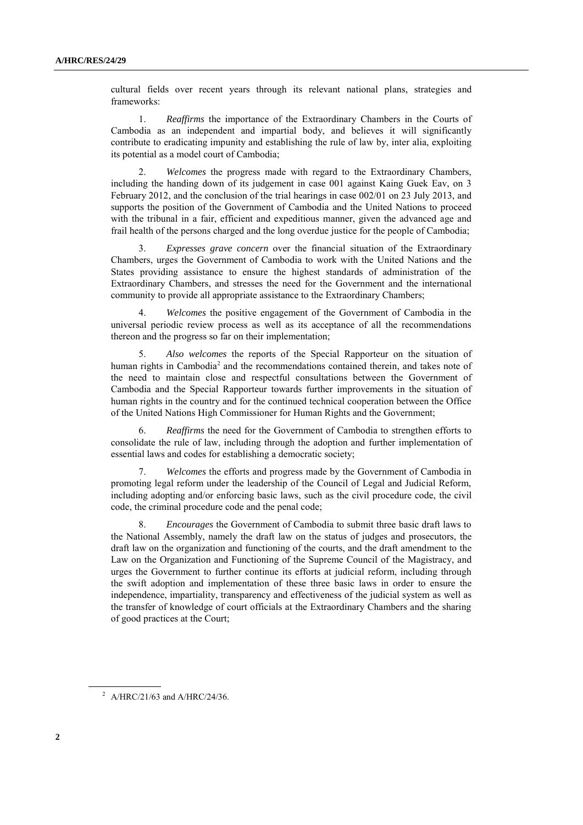cultural fields over recent years through its relevant national plans, strategies and frameworks:

1. *Reaffirms* the importance of the Extraordinary Chambers in the Courts of Cambodia as an independent and impartial body, and believes it will significantly contribute to eradicating impunity and establishing the rule of law by, inter alia, exploiting its potential as a model court of Cambodia;

2. *Welcomes* the progress made with regard to the Extraordinary Chambers, including the handing down of its judgement in case 001 against Kaing Guek Eav, on 3 February 2012, and the conclusion of the trial hearings in case 002/01 on 23 July 2013, and supports the position of the Government of Cambodia and the United Nations to proceed with the tribunal in a fair, efficient and expeditious manner, given the advanced age and frail health of the persons charged and the long overdue justice for the people of Cambodia;

3. *Expresses grave concern* over the financial situation of the Extraordinary Chambers, urges the Government of Cambodia to work with the United Nations and the States providing assistance to ensure the highest standards of administration of the Extraordinary Chambers, and stresses the need for the Government and the international community to provide all appropriate assistance to the Extraordinary Chambers;

4. *Welcomes* the positive engagement of the Government of Cambodia in the universal periodic review process as well as its acceptance of all the recommendations thereon and the progress so far on their implementation;

5. *Also welcomes* the reports of the Special Rapporteur on the situation of human rights in Cambodia<sup>2</sup> and the recommendations contained therein, and takes note of the need to maintain close and respectful consultations between the Government of Cambodia and the Special Rapporteur towards further improvements in the situation of human rights in the country and for the continued technical cooperation between the Office of the United Nations High Commissioner for Human Rights and the Government;

6. *Reaffirms* the need for the Government of Cambodia to strengthen efforts to consolidate the rule of law, including through the adoption and further implementation of essential laws and codes for establishing a democratic society;

7. *Welcomes* the efforts and progress made by the Government of Cambodia in promoting legal reform under the leadership of the Council of Legal and Judicial Reform, including adopting and/or enforcing basic laws, such as the civil procedure code, the civil code, the criminal procedure code and the penal code;

8. *Encourages* the Government of Cambodia to submit three basic draft laws to the National Assembly, namely the draft law on the status of judges and prosecutors, the draft law on the organization and functioning of the courts, and the draft amendment to the Law on the Organization and Functioning of the Supreme Council of the Magistracy, and urges the Government to further continue its efforts at judicial reform, including through the swift adoption and implementation of these three basic laws in order to ensure the independence, impartiality, transparency and effectiveness of the judicial system as well as the transfer of knowledge of court officials at the Extraordinary Chambers and the sharing of good practices at the Court;

<sup>&</sup>lt;sup>2</sup> A/HRC/21/63 and A/HRC/24/36.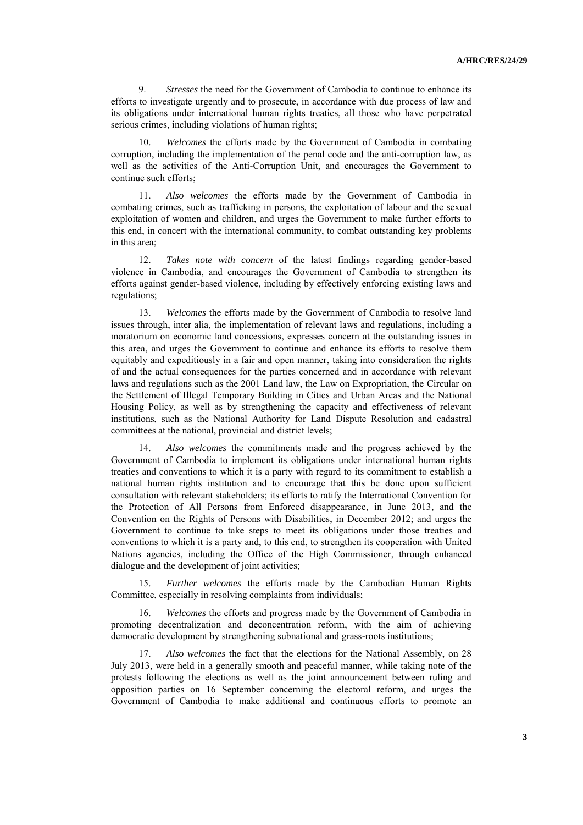9. *Stresses* the need for the Government of Cambodia to continue to enhance its efforts to investigate urgently and to prosecute, in accordance with due process of law and its obligations under international human rights treaties, all those who have perpetrated serious crimes, including violations of human rights;

10. *Welcomes* the efforts made by the Government of Cambodia in combating corruption, including the implementation of the penal code and the anti-corruption law, as well as the activities of the Anti-Corruption Unit, and encourages the Government to continue such efforts;

11. *Also welcomes* the efforts made by the Government of Cambodia in combating crimes, such as trafficking in persons, the exploitation of labour and the sexual exploitation of women and children, and urges the Government to make further efforts to this end, in concert with the international community, to combat outstanding key problems in this area;

12. *Takes note with concern* of the latest findings regarding gender-based violence in Cambodia, and encourages the Government of Cambodia to strengthen its efforts against gender-based violence, including by effectively enforcing existing laws and regulations;

13. *Welcomes* the efforts made by the Government of Cambodia to resolve land issues through, inter alia, the implementation of relevant laws and regulations, including a moratorium on economic land concessions, expresses concern at the outstanding issues in this area, and urges the Government to continue and enhance its efforts to resolve them equitably and expeditiously in a fair and open manner, taking into consideration the rights of and the actual consequences for the parties concerned and in accordance with relevant laws and regulations such as the 2001 Land law, the Law on Expropriation, the Circular on the Settlement of Illegal Temporary Building in Cities and Urban Areas and the National Housing Policy, as well as by strengthening the capacity and effectiveness of relevant institutions, such as the National Authority for Land Dispute Resolution and cadastral committees at the national, provincial and district levels;

14. *Also welcomes* the commitments made and the progress achieved by the Government of Cambodia to implement its obligations under international human rights treaties and conventions to which it is a party with regard to its commitment to establish a national human rights institution and to encourage that this be done upon sufficient consultation with relevant stakeholders; its efforts to ratify the International Convention for the Protection of All Persons from Enforced disappearance, in June 2013, and the Convention on the Rights of Persons with Disabilities, in December 2012; and urges the Government to continue to take steps to meet its obligations under those treaties and conventions to which it is a party and, to this end, to strengthen its cooperation with United Nations agencies, including the Office of the High Commissioner, through enhanced dialogue and the development of joint activities;

15. *Further welcomes* the efforts made by the Cambodian Human Rights Committee, especially in resolving complaints from individuals;

16. *Welcomes* the efforts and progress made by the Government of Cambodia in promoting decentralization and deconcentration reform, with the aim of achieving democratic development by strengthening subnational and grass-roots institutions;

Also welcomes the fact that the elections for the National Assembly, on 28 July 2013, were held in a generally smooth and peaceful manner, while taking note of the protests following the elections as well as the joint announcement between ruling and opposition parties on 16 September concerning the electoral reform, and urges the Government of Cambodia to make additional and continuous efforts to promote an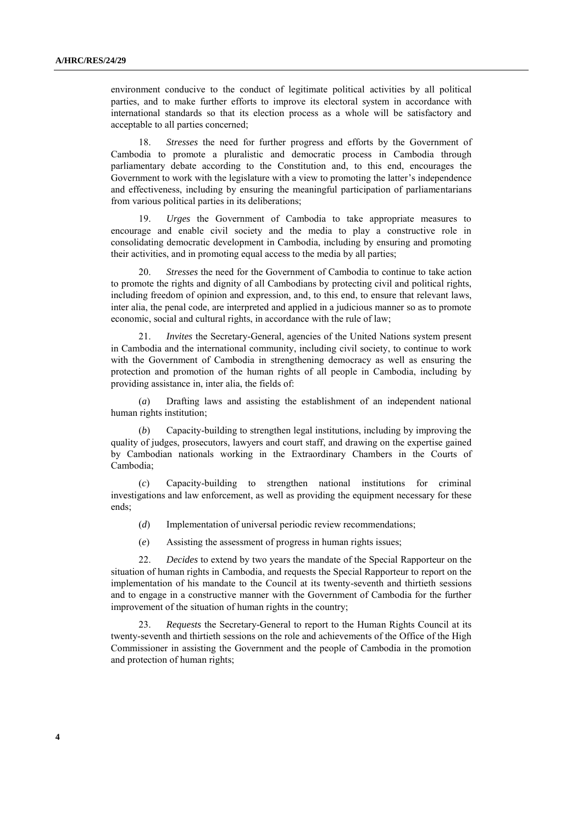environment conducive to the conduct of legitimate political activities by all political parties, and to make further efforts to improve its electoral system in accordance with international standards so that its election process as a whole will be satisfactory and acceptable to all parties concerned;

18. *Stresses* the need for further progress and efforts by the Government of Cambodia to promote a pluralistic and democratic process in Cambodia through parliamentary debate according to the Constitution and, to this end, encourages the Government to work with the legislature with a view to promoting the latter's independence and effectiveness, including by ensuring the meaningful participation of parliamentarians from various political parties in its deliberations;

19. *Urges* the Government of Cambodia to take appropriate measures to encourage and enable civil society and the media to play a constructive role in consolidating democratic development in Cambodia, including by ensuring and promoting their activities, and in promoting equal access to the media by all parties;

20. *Stresses* the need for the Government of Cambodia to continue to take action to promote the rights and dignity of all Cambodians by protecting civil and political rights, including freedom of opinion and expression, and, to this end, to ensure that relevant laws, inter alia, the penal code, are interpreted and applied in a judicious manner so as to promote economic, social and cultural rights, in accordance with the rule of law;

21. *Invites* the Secretary-General, agencies of the United Nations system present in Cambodia and the international community, including civil society, to continue to work with the Government of Cambodia in strengthening democracy as well as ensuring the protection and promotion of the human rights of all people in Cambodia, including by providing assistance in, inter alia, the fields of:

(*a*) Drafting laws and assisting the establishment of an independent national human rights institution;

(*b*) Capacity-building to strengthen legal institutions, including by improving the quality of judges, prosecutors, lawyers and court staff, and drawing on the expertise gained by Cambodian nationals working in the Extraordinary Chambers in the Courts of Cambodia;

(*c*) Capacity-building to strengthen national institutions for criminal investigations and law enforcement, as well as providing the equipment necessary for these ends;

- (*d*) Implementation of universal periodic review recommendations;
- (*e*) Assisting the assessment of progress in human rights issues;

22. *Decides* to extend by two years the mandate of the Special Rapporteur on the situation of human rights in Cambodia, and requests the Special Rapporteur to report on the implementation of his mandate to the Council at its twenty-seventh and thirtieth sessions and to engage in a constructive manner with the Government of Cambodia for the further improvement of the situation of human rights in the country;

23. *Requests* the Secretary-General to report to the Human Rights Council at its twenty-seventh and thirtieth sessions on the role and achievements of the Office of the High Commissioner in assisting the Government and the people of Cambodia in the promotion and protection of human rights;